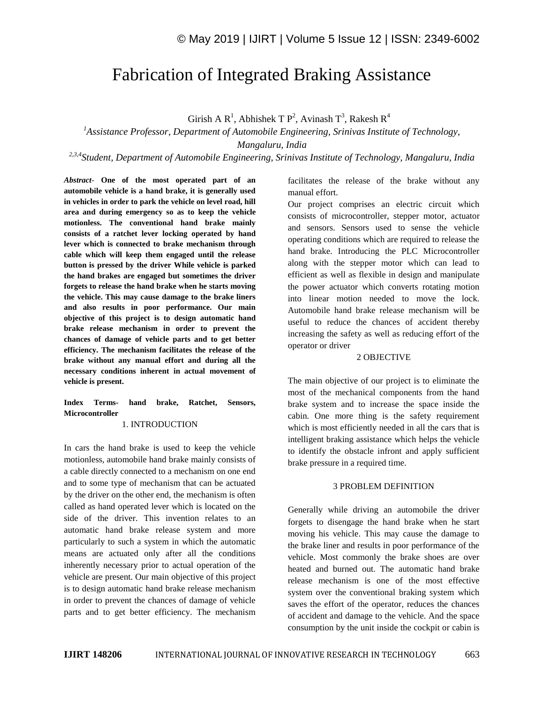# Fabrication of Integrated Braking Assistance

Girish A R<sup>1</sup>, Abhishek T P<sup>2</sup>, Avinash T<sup>3</sup>, Rakesh R<sup>4</sup>

*<sup>1</sup>Assistance Professor, Department of Automobile Engineering, Srinivas Institute of Technology, Mangaluru, India*

*2,3,4Student, Department of Automobile Engineering, Srinivas Institute of Technology, Mangaluru, India*

*Abstract*- **One of the most operated part of an automobile vehicle is a hand brake, it is generally used in vehicles in order to park the vehicle on level road, hill area and during emergency so as to keep the vehicle motionless. The conventional hand brake mainly consists of a ratchet lever locking operated by hand lever which is connected to brake mechanism through cable which will keep them engaged until the release button is pressed by the driver While vehicle is parked the hand brakes are engaged but sometimes the driver forgets to release the hand brake when he starts moving the vehicle. This may cause damage to the brake liners and also results in poor performance. Our main objective of this project is to design automatic hand brake release mechanism in order to prevent the chances of damage of vehicle parts and to get better efficiency. The mechanism facilitates the release of the brake without any manual effort and during all the necessary conditions inherent in actual movement of vehicle is present.**

# **Index Terms- hand brake, Ratchet, Sensors, Microcontroller**

## 1. INTRODUCTION

In cars the hand brake is used to keep the vehicle motionless, automobile hand brake mainly consists of a cable directly connected to a mechanism on one end and to some type of mechanism that can be actuated by the driver on the other end, the mechanism is often called as hand operated lever which is located on the side of the driver. This invention relates to an automatic hand brake release system and more particularly to such a system in which the automatic means are actuated only after all the conditions inherently necessary prior to actual operation of the vehicle are present. Our main objective of this project is to design automatic hand brake release mechanism in order to prevent the chances of damage of vehicle parts and to get better efficiency. The mechanism facilitates the release of the brake without any manual effort.

Our project comprises an electric circuit which consists of microcontroller, stepper motor, actuator and sensors. Sensors used to sense the vehicle operating conditions which are required to release the hand brake. Introducing the PLC Microcontroller along with the stepper motor which can lead to efficient as well as flexible in design and manipulate the power actuator which converts rotating motion into linear motion needed to move the lock. Automobile hand brake release mechanism will be useful to reduce the chances of accident thereby increasing the safety as well as reducing effort of the operator or driver

## 2 OBJECTIVE

The main objective of our project is to eliminate the most of the mechanical components from the hand brake system and to increase the space inside the cabin. One more thing is the safety requirement which is most efficiently needed in all the cars that is intelligent braking assistance which helps the vehicle to identify the obstacle infront and apply sufficient brake pressure in a required time.

## 3 PROBLEM DEFINITION

Generally while driving an automobile the driver forgets to disengage the hand brake when he start moving his vehicle. This may cause the damage to the brake liner and results in poor performance of the vehicle. Most commonly the brake shoes are over heated and burned out. The automatic hand brake release mechanism is one of the most effective system over the conventional braking system which saves the effort of the operator, reduces the chances of accident and damage to the vehicle. And the space consumption by the unit inside the cockpit or cabin is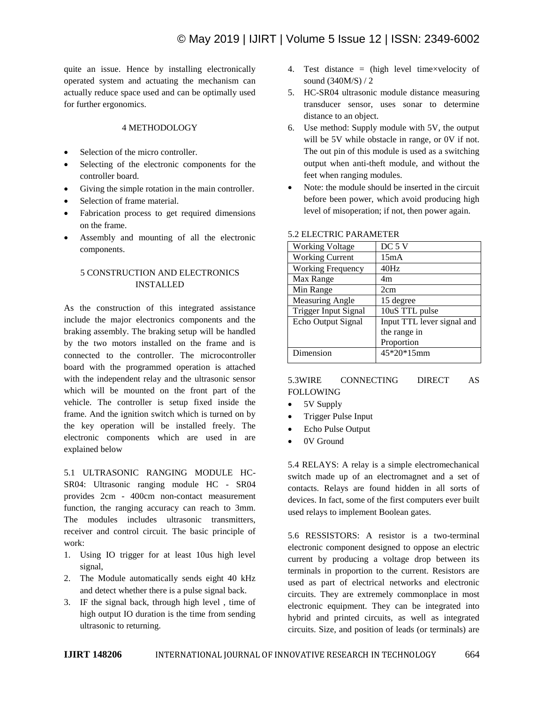quite an issue. Hence by installing electronically operated system and actuating the mechanism can actually reduce space used and can be optimally used for further ergonomics.

# 4 METHODOLOGY

- Selection of the micro controller.
- Selecting of the electronic components for the controller board.
- Giving the simple rotation in the main controller.
- Selection of frame material.
- Fabrication process to get required dimensions on the frame.
- Assembly and mounting of all the electronic components.

# 5 CONSTRUCTION AND ELECTRONICS INSTALLED

As the construction of this integrated assistance include the major electronics components and the braking assembly. The braking setup will be handled by the two motors installed on the frame and is connected to the controller. The microcontroller board with the programmed operation is attached with the independent relay and the ultrasonic sensor which will be mounted on the front part of the vehicle. The controller is setup fixed inside the frame. And the ignition switch which is turned on by the key operation will be installed freely. The electronic components which are used in are explained below

5.1 ULTRASONIC RANGING MODULE HC-SR04: Ultrasonic ranging module HC - SR04 provides 2cm - 400cm non-contact measurement function, the ranging accuracy can reach to 3mm. The modules includes ultrasonic transmitters, receiver and control circuit. The basic principle of work:

- 1. Using IO trigger for at least 10us high level signal,
- 2. The Module automatically sends eight 40 kHz and detect whether there is a pulse signal back.
- 3. IF the signal back, through high level , time of high output IO duration is the time from sending ultrasonic to returning.
- 4. Test distance = (high level time×velocity of sound (340M/S) / 2
- 5. HC-SR04 ultrasonic module distance measuring transducer sensor, uses sonar to determine distance to an object.
- 6. Use method: Supply module with 5V, the output will be 5V while obstacle in range, or 0V if not. The out pin of this module is used as a switching output when anti-theft module, and without the feet when ranging modules.
- Note: the module should be inserted in the circuit before been power, which avoid producing high level of misoperation; if not, then power again.

| <b>Working Voltage</b>      | DC <sub>5</sub> V          |
|-----------------------------|----------------------------|
| <b>Working Current</b>      | 15mA                       |
| <b>Working Frequency</b>    | 40Hz                       |
| Max Range                   | 4m                         |
| Min Range                   | 2cm                        |
| <b>Measuring Angle</b>      | 15 degree                  |
| <b>Trigger Input Signal</b> | 10uS TTL pulse             |
| Echo Output Signal          | Input TTL lever signal and |
|                             | the range in               |
|                             | Proportion                 |
| Dimension                   | 45*20*15mm                 |

## 5.2 ELECTRIC PARAMETER

# 5.3WIRE CONNECTING DIRECT AS FOLLOWING

- 5V Supply
- Trigger Pulse Input
- Echo Pulse Output
- 0V Ground

5.4 RELAYS: A relay is a simple electromechanical switch made up of an electromagnet and a set of contacts. Relays are found hidden in all sorts of devices. In fact, some of the first computers ever built used relays to implement Boolean gates.

5.6 RESSISTORS: A resistor is a two-terminal electronic component designed to oppose an electric current by producing a voltage drop between its terminals in proportion to the current. Resistors are used as part of electrical networks and electronic circuits. They are extremely commonplace in most electronic equipment. They can be integrated into hybrid and printed circuits, as well as integrated circuits. Size, and position of leads (or terminals) are